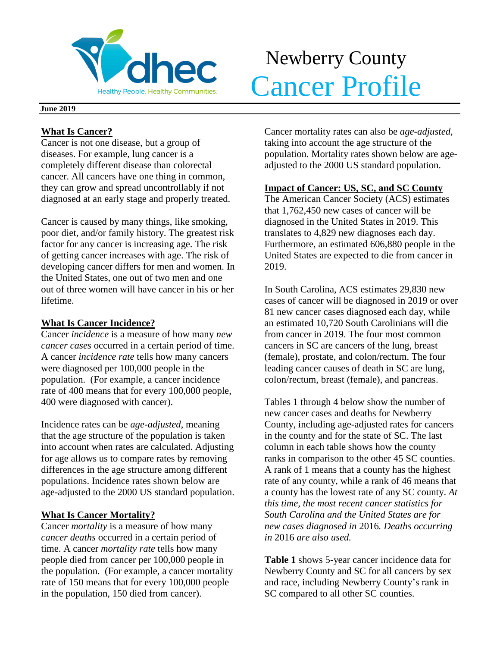

# Newberry County **Cancer Profile**

#### **June 2019**

## **What Is Cancer?**

Cancer is not one disease, but a group of diseases. For example, lung cancer is a completely different disease than colorectal cancer. All cancers have one thing in common, they can grow and spread uncontrollably if not diagnosed at an early stage and properly treated.

Cancer is caused by many things, like smoking, poor diet, and/or family history. The greatest risk factor for any cancer is increasing age. The risk of getting cancer increases with age. The risk of developing cancer differs for men and women. In the United States, one out of two men and one out of three women will have cancer in his or her lifetime.

## **What Is Cancer Incidence?**

Cancer *incidence* is a measure of how many *new cancer cases* occurred in a certain period of time. A cancer *incidence rate* tells how many cancers were diagnosed per 100,000 people in the population. (For example, a cancer incidence rate of 400 means that for every 100,000 people, 400 were diagnosed with cancer).

Incidence rates can be *age-adjusted*, meaning that the age structure of the population is taken into account when rates are calculated. Adjusting for age allows us to compare rates by removing differences in the age structure among different populations. Incidence rates shown below are age-adjusted to the 2000 US standard population.

## **What Is Cancer Mortality?**

Cancer *mortality* is a measure of how many *cancer deaths* occurred in a certain period of time. A cancer *mortality rate* tells how many people died from cancer per 100,000 people in the population. (For example, a cancer mortality rate of 150 means that for every 100,000 people in the population, 150 died from cancer).

Cancer mortality rates can also be *age-adjusted*, taking into account the age structure of the population. Mortality rates shown below are ageadjusted to the 2000 US standard population.

## **Impact of Cancer: US, SC, and SC County**

The American Cancer Society (ACS) estimates that 1,762,450 new cases of cancer will be diagnosed in the United States in 2019. This translates to 4,829 new diagnoses each day. Furthermore, an estimated 606,880 people in the United States are expected to die from cancer in 2019.

In South Carolina, ACS estimates 29,830 new cases of cancer will be diagnosed in 2019 or over 81 new cancer cases diagnosed each day, while an estimated 10,720 South Carolinians will die from cancer in 2019. The four most common cancers in SC are cancers of the lung, breast (female), prostate, and colon/rectum. The four leading cancer causes of death in SC are lung, colon/rectum, breast (female), and pancreas.

Tables 1 through 4 below show the number of new cancer cases and deaths for Newberry County, including age-adjusted rates for cancers in the county and for the state of SC. The last column in each table shows how the county ranks in comparison to the other 45 SC counties. A rank of 1 means that a county has the highest rate of any county, while a rank of 46 means that a county has the lowest rate of any SC county. *At this time, the most recent cancer statistics for South Carolina and the United States are for new cases diagnosed in* 2016*. Deaths occurring in* 2016 *are also used.*

**Table 1** shows 5-year cancer incidence data for Newberry County and SC for all cancers by sex and race, including Newberry County's rank in SC compared to all other SC counties.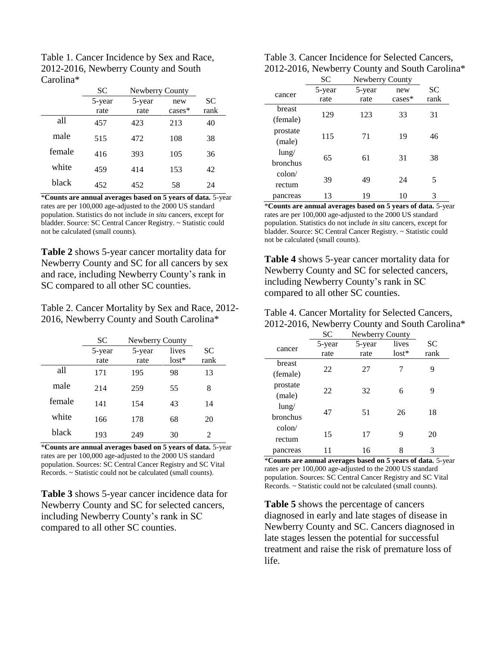| Table 1. Cancer Incidence by Sex and Race, |
|--------------------------------------------|
| 2012-2016, Newberry County and South       |
| Carolina*                                  |

|        | SС     | Newberry County |           |           |
|--------|--------|-----------------|-----------|-----------|
|        | 5-year | 5-year          | new       | <b>SC</b> |
|        | rate   | rate            | $cases^*$ | rank      |
| all    | 457    | 423             | 213       | 40        |
| male   | 515    | 472             | 108       | 38        |
| female | 416    | 393             | 105       | 36        |
| white  | 459    | 414             | 153       | 42        |
| black  | 452    | 452             | 58        | 24        |

\***Counts are annual averages based on 5 years of data.** 5-year rates are per 100,000 age-adjusted to the 2000 US standard population. Statistics do not include *in situ* cancers, except for bladder. Source: SC Central Cancer Registry. ~ Statistic could not be calculated (small counts).

**Table 2** shows 5-year cancer mortality data for Newberry County and SC for all cancers by sex and race, including Newberry County's rank in SC compared to all other SC counties.

Table 2. Cancer Mortality by Sex and Race, 2012- 2016, Newberry County and South Carolina\*

|        | SС     | Newberry County |         |                |
|--------|--------|-----------------|---------|----------------|
|        | 5-year | 5-year          | lives   | SC             |
|        | rate   | rate            | $lost*$ | rank           |
| all    | 171    | 195             | 98      | 13             |
| male   | 214    | 259             | 55      | 8              |
| female | 141    | 154             | 43      | 14             |
| white  | 166    | 178             | 68      | 20             |
| black  | 193    | 249             | 30      | $\mathfrak{D}$ |

\***Counts are annual averages based on 5 years of data.** 5-year rates are per 100,000 age-adjusted to the 2000 US standard population. Sources: SC Central Cancer Registry and SC Vital Records. ~ Statistic could not be calculated (small counts).

**Table 3** shows 5-year cancer incidence data for Newberry County and SC for selected cancers, including Newberry County's rank in SC compared to all other SC counties.

| Table 3. Cancer Incidence for Selected Cancers, |
|-------------------------------------------------|
| 2012-2016, Newberry County and South Carolina*  |

|                 | SC     | Newberry County |          |           |  |
|-----------------|--------|-----------------|----------|-----------|--|
| cancer          | 5-year | 5-year          | new      | <b>SC</b> |  |
|                 | rate   | rate            | $cases*$ | rank      |  |
| breast          | 129    | 123             | 33       | 31        |  |
| (female)        |        |                 |          |           |  |
| prostate        | 115    | 71              | 19       | 46        |  |
| (male)          |        |                 |          |           |  |
| $l$ ung/        | 65     | 61              | 31       | 38        |  |
| <b>bronchus</b> |        |                 |          |           |  |
| $\text{colon}/$ |        |                 |          |           |  |
| rectum          | 39     | 49              | 24       | 5         |  |
| pancreas        | 13     | 19              | 10       | 3         |  |

\***Counts are annual averages based on 5 years of data.** 5-year rates are per 100,000 age-adjusted to the 2000 US standard population. Statistics do not include *in situ* cancers, except for bladder. Source: SC Central Cancer Registry. ~ Statistic could not be calculated (small counts).

**Table 4** shows 5-year cancer mortality data for Newberry County and SC for selected cancers, including Newberry County's rank in SC compared to all other SC counties.

| Table 4. Cancer Mortality for Selected Cancers, |
|-------------------------------------------------|
| 2012-2016, Newberry County and South Carolina*  |

|                 | <b>SC</b> | Newberry County |         |      |
|-----------------|-----------|-----------------|---------|------|
|                 | 5-year    | 5-year          | lives   | SС   |
| cancer          | rate      | rate            | $lost*$ | rank |
| breast          |           |                 |         |      |
| (female)        | 22        | 27              | 7       | 9    |
| prostate        |           |                 |         |      |
| (male)          | 22        | 32              | 6       | 9    |
| $l$ ung/        |           |                 |         |      |
| bronchus        | 47        | 51              | 26      | 18   |
| $\text{colon}/$ |           |                 |         |      |
| rectum          | 15        | 17              | 9       | 20   |
| pancreas        |           | 16              | 8       | 3    |

\***Counts are annual averages based on 5 years of data.** 5-year rates are per 100,000 age-adjusted to the 2000 US standard population. Sources: SC Central Cancer Registry and SC Vital Records. ~ Statistic could not be calculated (small counts).

**Table 5** shows the percentage of cancers diagnosed in early and late stages of disease in Newberry County and SC. Cancers diagnosed in late stages lessen the potential for successful treatment and raise the risk of premature loss of life.